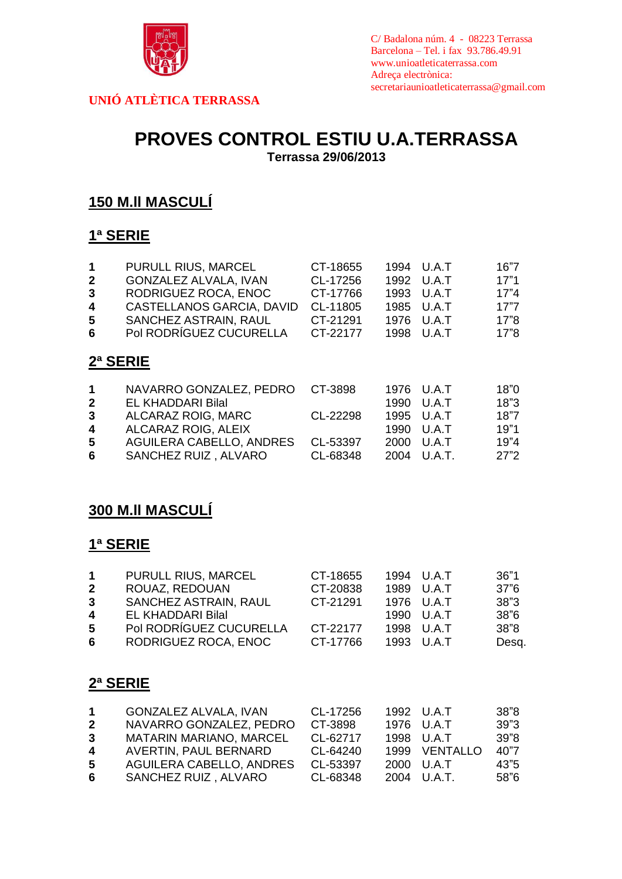

C/ Badalona núm. 4 - 08223 Terrassa Barcelona – Tel. i fax 93.786.49.91 www.unioatleticaterrassa.com Adreça electrònica: secretariaunioatleticaterrassa@gmail.com

**UNIÓ ATLÈTICA TERRASSA**

# **PROVES CONTROL ESTIU U.A.TERRASSA**

**Terrassa 29/06/2013**

### **150 M.ll MASCULÍ**

### **1ª SERIE**

| 1<br>2<br>3<br>4<br>5<br>6                       | PURULL RIUS, MARCEL<br><b>GONZALEZ ALVALA, IVAN</b><br>RODRIGUEZ ROCA, ENOC<br>CASTELLANOS GARCIA, DAVID<br>SANCHEZ ASTRAIN, RAUL<br>Pol RODRÍGUEZ CUCURELLA | CT-18655<br>CL-17256<br>CT-17766<br>CL-11805<br>CT-21291<br>CT-22177 | 1994<br>1992<br>1993<br>1985<br>1976<br>1998 | U.A.T<br>U.A.T<br>U.A.T<br>U.A.T<br>U.A.T<br>U.A.T  | 16"7<br>17"1<br>17"4<br>17"7<br>17"8<br>17"8 |
|--------------------------------------------------|--------------------------------------------------------------------------------------------------------------------------------------------------------------|----------------------------------------------------------------------|----------------------------------------------|-----------------------------------------------------|----------------------------------------------|
| 2ª SERIE                                         |                                                                                                                                                              |                                                                      |                                              |                                                     |                                              |
| 1<br>$\mathbf{2}$<br>$\mathbf{3}$<br>4<br>5<br>6 | NAVARRO GONZALEZ, PEDRO<br>EL KHADDARI Bilal<br>ALCARAZ ROIG, MARC<br>ALCARAZ ROIG, ALEIX<br>AGUILERA CABELLO, ANDRES<br>SANCHEZ RUIZ, ALVARO                | CT-3898<br>CL-22298<br>CL-53397<br>CL-68348                          | 1976<br>1990<br>1995<br>1990<br>2000<br>2004 | U.A.T<br>U.A.T<br>U.A.T<br>U.A.T<br>U.A.T<br>U.A.T. | 18"0<br>18"3<br>18"7<br>19"1<br>19"4<br>27"2 |

### **300 M.ll MASCULÍ**

### **1ª SERIE**

| 1           | PURULL RIUS, MARCEL      | CT-18655 | 1994 U.A.T | 36"1  |
|-------------|--------------------------|----------|------------|-------|
| $\mathbf 2$ | ROUAZ, REDOUAN           | CT-20838 | 1989 U.A.T | 37"6  |
| 3           | SANCHEZ ASTRAIN, RAUL    | CT-21291 | 1976 U.A.T | 38"3  |
| 4           | <b>EL KHADDARI Bilal</b> |          | 1990 U.A.T | 38"6  |
| 5           | Pol RODRÍGUEZ CUCURELLA  | CT-22177 | 1998 U.A.T | 38"8  |
| 6           | RODRIGUEZ ROCA, ENOC     | CT-17766 | 1993 U.A.T | Desq. |
|             |                          |          |            |       |

#### **2ª SERIE**

|              | <b>GONZALEZ ALVALA, IVAN</b> | CL-17256 | 1992 U.A.T    | 38"8 |
|--------------|------------------------------|----------|---------------|------|
| $\mathbf{2}$ | NAVARRO GONZALEZ, PEDRO      | CT-3898  | 1976 U.A.T    | 39"3 |
| 3            | MATARIN MARIANO, MARCEL      | CL-62717 | 1998 U.A.T    | 39"8 |
| 4            | AVERTIN, PAUL BERNARD        | CL-64240 | 1999 VENTALLO | 40"7 |
| 5.           | AGUILERA CABELLO, ANDRES     | CL-53397 | 2000 U.A.T    | 43"5 |
| 6            | SANCHEZ RUIZ, ALVARO         | CL-68348 | 2004 U.A.T.   | 58"6 |